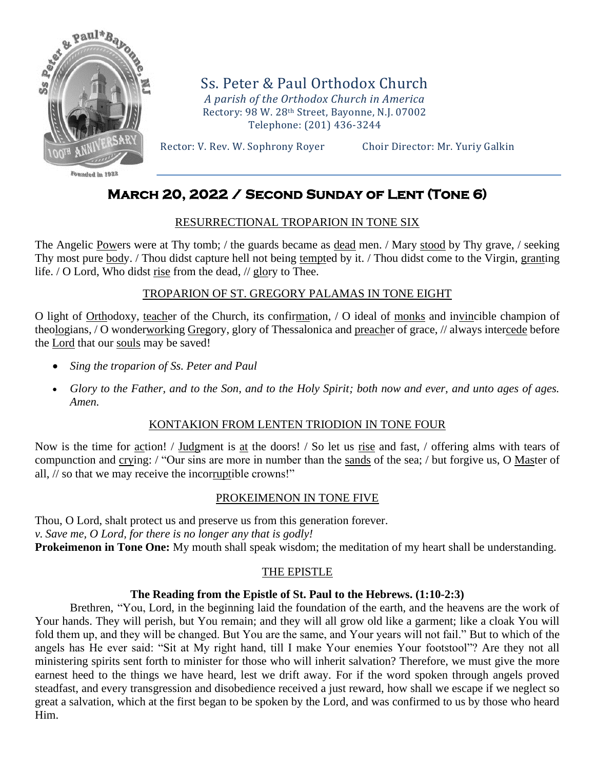

Founded in 1922

Ss. Peter & Paul Orthodox Church *A parish of the Orthodox Church in America* Rectory: 98 W. 28th Street, Bayonne, N.J. 07002 Telephone: (201) 436-3244

Rector: V. Rev. W. Sophrony Royer Choir Director: Mr. Yuriy Galkin

# **March 20, 2022 / Second Sunday of Lent (Tone 6)**

# RESURRECTIONAL TROPARION IN TONE SIX

The Angelic Powers were at Thy tomb; / the guards became as dead men. / Mary stood by Thy grave, / seeking Thy most pure body. / Thou didst capture hell not being tempted by it. / Thou didst come to the Virgin, granting life. / O Lord, Who didst rise from the dead, // glory to Thee.

# TROPARION OF ST. GREGORY PALAMAS IN TONE EIGHT

O light of Orthodoxy, teacher of the Church, its confirmation, / O ideal of monks and invincible champion of theologians, / O wonderworking Gregory, glory of Thessalonica and preacher of grace, // always intercede before the **Lord** that our souls may be saved!

- *Sing the troparion of Ss. Peter and Paul*
- *Glory to the Father, and to the Son, and to the Holy Spirit; both now and ever, and unto ages of ages. Amen.*

# KONTAKION FROM LENTEN TRIODION IN TONE FOUR

Now is the time for action! / Judgment is at the doors! / So let us rise and fast, / offering alms with tears of compunction and crying: / "Our sins are more in number than the sands of the sea; / but forgive us, O Master of all, // so that we may receive the incorruptible crowns!"

# PROKEIMENON IN TONE FIVE

Thou, O Lord, shalt protect us and preserve us from this generation forever. *v. Save me, O Lord, for there is no longer any that is godly!* **Prokeimenon in Tone One:** My mouth shall speak wisdom; the meditation of my heart shall be understanding.

# THE EPISTLE

# **The Reading from the Epistle of St. Paul to the Hebrews. (1:10-2:3)**

Brethren, "You, Lord, in the beginning laid the foundation of the earth, and the heavens are the work of Your hands. They will perish, but You remain; and they will all grow old like a garment; like a cloak You will fold them up, and they will be changed. But You are the same, and Your years will not fail." But to which of the angels has He ever said: "Sit at My right hand, till I make Your enemies Your footstool"? Are they not all ministering spirits sent forth to minister for those who will inherit salvation? Therefore, we must give the more earnest heed to the things we have heard, lest we drift away. For if the word spoken through angels proved steadfast, and every transgression and disobedience received a just reward, how shall we escape if we neglect so great a salvation, which at the first began to be spoken by the Lord, and was confirmed to us by those who heard Him.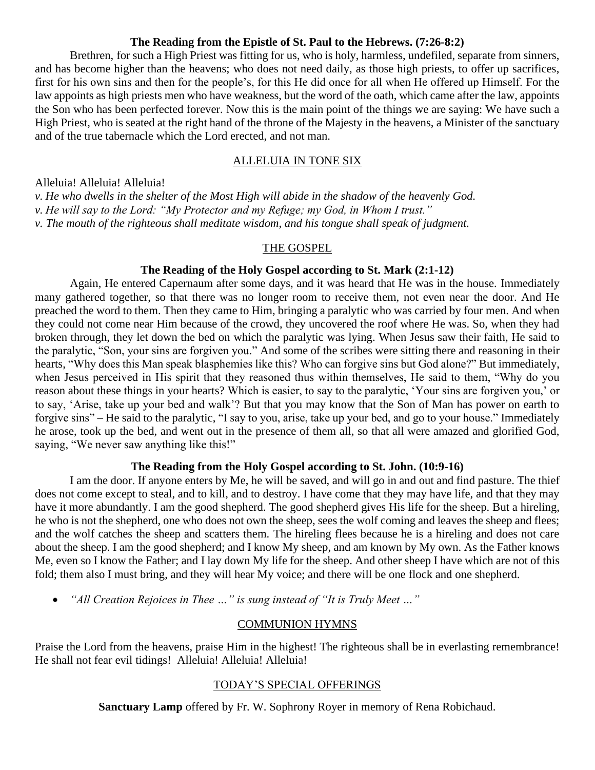### **The Reading from the Epistle of St. Paul to the Hebrews. (7:26-8:2)**

Brethren, for such a High Priest was fitting for us, who is holy, harmless, undefiled, separate from sinners, and has become higher than the heavens; who does not need daily, as those high priests, to offer up sacrifices, first for his own sins and then for the people's, for this He did once for all when He offered up Himself. For the law appoints as high priests men who have weakness, but the word of the oath, which came after the law, appoints the Son who has been perfected forever. Now this is the main point of the things we are saying: We have such a High Priest, who is seated at the right hand of the throne of the Majesty in the heavens, a Minister of the sanctuary and of the true tabernacle which the Lord erected, and not man.

# ALLELUIA IN TONE SIX

Alleluia! Alleluia! Alleluia!

*v. He who dwells in the shelter of the Most High will abide in the shadow of the heavenly God. v. He will say to the Lord: "My Protector and my Refuge; my God, in Whom I trust." v. The mouth of the righteous shall meditate wisdom, and his tongue shall speak of judgment.*

### THE GOSPEL

#### **The Reading of the Holy Gospel according to St. Mark (2:1-12)**

Again, He entered Capernaum after some days, and it was heard that He was in the house. Immediately many gathered together, so that there was no longer room to receive them, not even near the door. And He preached the word to them. Then they came to Him, bringing a paralytic who was carried by four men. And when they could not come near Him because of the crowd, they uncovered the roof where He was. So, when they had broken through, they let down the bed on which the paralytic was lying. When Jesus saw their faith, He said to the paralytic, "Son, your sins are forgiven you." And some of the scribes were sitting there and reasoning in their hearts, "Why does this Man speak blasphemies like this? Who can forgive sins but God alone?" But immediately, when Jesus perceived in His spirit that they reasoned thus within themselves, He said to them, "Why do you reason about these things in your hearts? Which is easier, to say to the paralytic, 'Your sins are forgiven you,' or to say, 'Arise, take up your bed and walk'? But that you may know that the Son of Man has power on earth to forgive sins" – He said to the paralytic, "I say to you, arise, take up your bed, and go to your house." Immediately he arose, took up the bed, and went out in the presence of them all, so that all were amazed and glorified God, saying, "We never saw anything like this!"

### **The Reading from the Holy Gospel according to St. John. (10:9-16)**

I am the door. If anyone enters by Me, he will be saved, and will go in and out and find pasture. The thief does not come except to steal, and to kill, and to destroy. I have come that they may have life, and that they may have it more abundantly. I am the good shepherd. The good shepherd gives His life for the sheep. But a hireling, he who is not the shepherd, one who does not own the sheep, sees the wolf coming and leaves the sheep and flees; and the wolf catches the sheep and scatters them. The hireling flees because he is a hireling and does not care about the sheep. I am the good shepherd; and I know My sheep, and am known by My own. As the Father knows Me, even so I know the Father; and I lay down My life for the sheep. And other sheep I have which are not of this fold; them also I must bring, and they will hear My voice; and there will be one flock and one shepherd.

• *"All Creation Rejoices in Thee …" is sung instead of "It is Truly Meet …"* 

# COMMUNION HYMNS

Praise the Lord from the heavens, praise Him in the highest! The righteous shall be in everlasting remembrance! He shall not fear evil tidings! Alleluia! Alleluia! Alleluia!

# TODAY'S SPECIAL OFFERINGS

**Sanctuary Lamp** offered by Fr. W. Sophrony Royer in memory of Rena Robichaud.